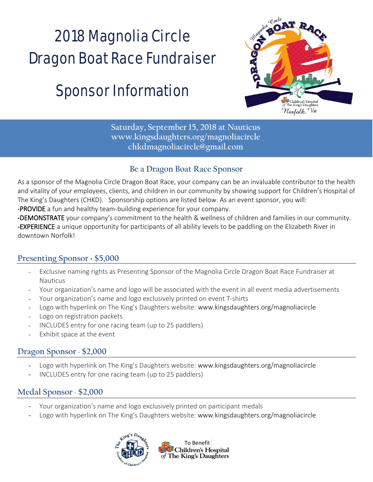# 2018 Magnolia Circle Dragon Boat Race Fundraiser

## **Sponsor Information**



**Saturday, September 15, 2018 at Nauticus www.kingsdaughters.org/magnoliacircle chkdmagnoliacircle@gmail.com**

#### **Be a Dragon Boat Race Sponsor**

As a sponsor of the Magnolia Circle Dragon Boat Race, your company can be an invaluable contributor to the health and vitality of your employees, clients, and children in our community by showing support for Children's Hospital of The King's Daughters (CHKD). Sponsorship options are listed below. As an event sponsor, you will:

-PROVIDE a fun and healthy team-building experience for your company.

-DEMONSTRATE your company's commitment to the health & wellness of children and families in our community. -EXPERIENCE a unique opportunity for participants of all ability levels to be paddling on the Elizabeth River in downtown Norfolk!

#### **Presenting Sponsor** ⋅ **\$5,000**

- Exclusive naming rights as Presenting Sponsor of the Magnolia Circle Dragon Boat Race Fundraiser at Nauticus
- Your organization's name and logo will be associated with the event in all event media advertisements
- Your organization's name and logo exclusively printed on event T-shirts
- Logo with hyperlink on The King's Daughters website: www.kingsdaughters.org/magnoliacircle
- Logo on registration packets
- INCLUDES entry for one racing team (up to 25 paddlers)
- Exhibit space at the event

#### **Dragon Sponsor** ⋅ **\$2,000**

- Logo with hyperlink on The King's Daughters website: www.kingsdaughters.org/magnoliacircle
- INCLUDES entry for one racing team (up to 25 paddlers)

#### **Medal Sponsor** ⋅ **\$2,000**

- Your organization's name and logo exclusively printed on participant medals
- Logo with hyperlink on The King's Daughters website: www.kingsdaughters.org/magnoliacircle



To Benefit **D**Children's Hospital of The King's Daughters